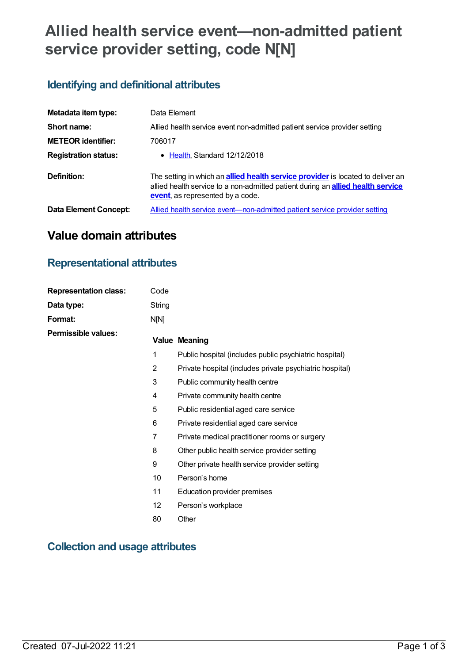# **Allied health service event—non-admitted patient service provider setting, code N[N]**

### **Identifying and definitional attributes**

| Metadata item type:          | Data Element                                                                                                                                                                                                         |  |  |
|------------------------------|----------------------------------------------------------------------------------------------------------------------------------------------------------------------------------------------------------------------|--|--|
| Short name:                  | Allied health service event non-admitted patient service provider setting                                                                                                                                            |  |  |
| <b>METEOR identifier:</b>    | 706017                                                                                                                                                                                                               |  |  |
| <b>Registration status:</b>  | • Health, Standard 12/12/2018                                                                                                                                                                                        |  |  |
| Definition:                  | The setting in which an <b>allied health service provider</b> is located to deliver an<br>allied health service to a non-admitted patient during an <b>allied health service</b><br>event, as represented by a code. |  |  |
| <b>Data Element Concept:</b> | Allied health service event-non-admitted patient service provider setting                                                                                                                                            |  |  |

## **Value domain attributes**

### **Representational attributes**

| <b>Representation class:</b> | Code            |                                                          |
|------------------------------|-----------------|----------------------------------------------------------|
| Data type:                   | String          |                                                          |
| Format:                      | N[N]            |                                                          |
| <b>Permissible values:</b>   |                 | <b>Value Meaning</b>                                     |
|                              | 1               | Public hospital (includes public psychiatric hospital)   |
|                              | $\overline{2}$  | Private hospital (includes private psychiatric hospital) |
|                              | 3               | Public community health centre                           |
|                              | 4               | Private community health centre                          |
|                              | 5               | Public residential aged care service                     |
|                              | 6               | Private residential aged care service                    |
|                              | 7               | Private medical practitioner rooms or surgery            |
|                              | 8               | Other public health service provider setting             |
|                              | 9               | Other private health service provider setting            |
|                              | 10              | Person's home                                            |
|                              | 11              | Education provider premises                              |
|                              | 12 <sup>2</sup> | Person's workplace                                       |
|                              | 80              | Other                                                    |
|                              |                 |                                                          |

### **Collection and usage attributes**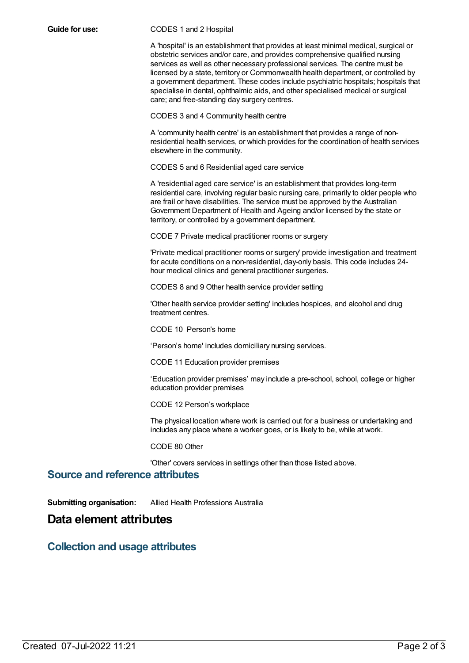#### **Guide for use:** CODES 1 and 2 Hospital

A 'hospital' is an establishment that provides at least minimal medical, surgical or obstetric services and/or care, and provides comprehensive qualified nursing services as well as other necessary professional services. The centre must be licensed by a state, territory or Commonwealth health department, or controlled by a government department. These codes include psychiatric hospitals; hospitals that specialise in dental, ophthalmic aids, and other specialised medical or surgical care; and free-standing day surgery centres.

CODES 3 and 4 Community health centre

A 'community health centre' is an establishment that provides a range of nonresidential health services, or which provides for the coordination of health services elsewhere in the community.

CODES 5 and 6 Residential aged care service

A 'residential aged care service' is an establishment that provides long-term residential care, involving regular basic nursing care, primarily to older people who are frail or have disabilities. The service must be approved by the Australian Government Department of Health and Ageing and/or licensed by the state or territory, or controlled by a government department.

CODE 7 Private medical practitioner rooms or surgery

'Private medical practitioner rooms or surgery' provide investigation and treatment for acute conditions on a non-residential, day-only basis. This code includes 24 hour medical clinics and general practitioner surgeries.

CODES 8 and 9 Other health service provider setting

'Other health service provider setting' includes hospices, and alcohol and drug treatment centres.

CODE 10 Person's home

'Person's home' includes domiciliary nursing services.

CODE 11 Education provider premises

'Education provider premises' may include a pre-school, school, college or higher education provider premises

CODE 12 Person's workplace

The physical location where work is carried out for a business or undertaking and includes any place where a worker goes, or is likely to be, while at work.

CODE 80 Other

'Other' covers services in settings other than those listed above.

#### **Source and reference attributes**

**Submitting organisation:** Allied Health Professions Australia

### **Data element attributes**

### **Collection and usage attributes**